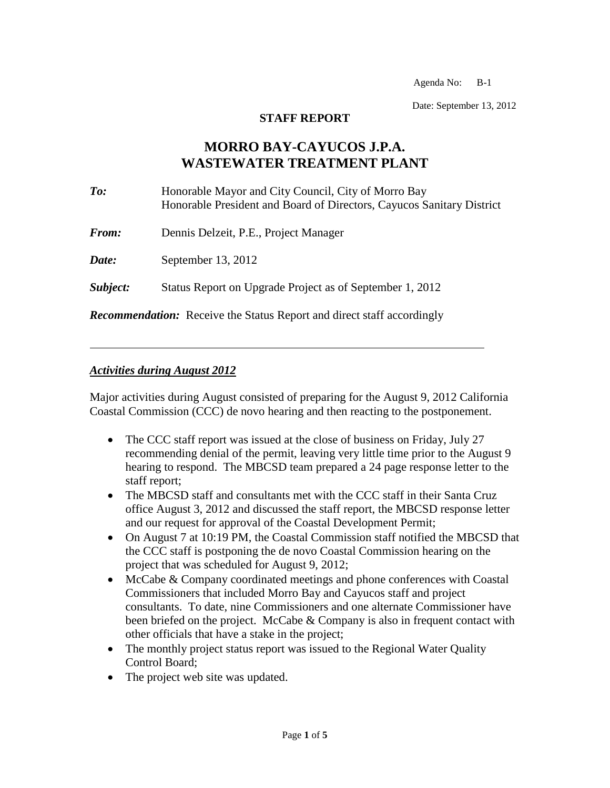Agenda No: B-1

Date: September 13, 2012

#### **STAFF REPORT**

# **MORRO BAY-CAYUCOS J.P.A. WASTEWATER TREATMENT PLANT**

| $\mathit{To:}$ | Honorable Mayor and City Council, City of Morro Bay<br>Honorable President and Board of Directors, Cayucos Sanitary District |
|----------------|------------------------------------------------------------------------------------------------------------------------------|
| <b>From:</b>   | Dennis Delzeit, P.E., Project Manager                                                                                        |
| Date:          | September 13, 2012                                                                                                           |
| Subject:       | Status Report on Upgrade Project as of September 1, 2012                                                                     |
|                |                                                                                                                              |

*Recommendation:* Receive the Status Report and direct staff accordingly

#### *Activities during August 2012*

Major activities during August consisted of preparing for the August 9, 2012 California Coastal Commission (CCC) de novo hearing and then reacting to the postponement.

- The CCC staff report was issued at the close of business on Friday, July 27 recommending denial of the permit, leaving very little time prior to the August 9 hearing to respond. The MBCSD team prepared a 24 page response letter to the staff report;
- The MBCSD staff and consultants met with the CCC staff in their Santa Cruz office August 3, 2012 and discussed the staff report, the MBCSD response letter and our request for approval of the Coastal Development Permit;
- On August 7 at 10:19 PM, the Coastal Commission staff notified the MBCSD that the CCC staff is postponing the de novo Coastal Commission hearing on the project that was scheduled for August 9, 2012;
- McCabe & Company coordinated meetings and phone conferences with Coastal Commissioners that included Morro Bay and Cayucos staff and project consultants. To date, nine Commissioners and one alternate Commissioner have been briefed on the project. McCabe & Company is also in frequent contact with other officials that have a stake in the project;
- The monthly project status report was issued to the Regional Water Quality Control Board;
- The project web site was updated.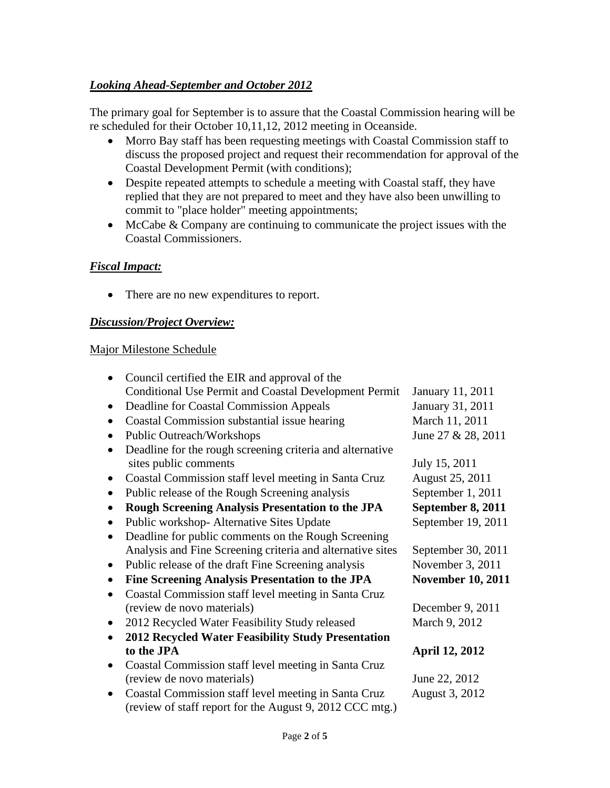## *Looking Ahead-September and October 2012*

The primary goal for September is to assure that the Coastal Commission hearing will be re scheduled for their October 10,11,12, 2012 meeting in Oceanside.

- Morro Bay staff has been requesting meetings with Coastal Commission staff to discuss the proposed project and request their recommendation for approval of the Coastal Development Permit (with conditions);
- Despite repeated attempts to schedule a meeting with Coastal staff, they have replied that they are not prepared to meet and they have also been unwilling to commit to "place holder" meeting appointments;
- McCabe & Company are continuing to communicate the project issues with the Coastal Commissioners.

## *Fiscal Impact:*

• There are no new expenditures to report.

## *Discussion/Project Overview:*

## Major Milestone Schedule

|           | Council certified the EIR and approval of the                |                          |
|-----------|--------------------------------------------------------------|--------------------------|
|           | <b>Conditional Use Permit and Coastal Development Permit</b> | January 11, 2011         |
|           | Deadline for Coastal Commission Appeals                      | January 31, 2011         |
|           | Coastal Commission substantial issue hearing                 | March 11, 2011           |
|           | Public Outreach/Workshops                                    | June 27 & 28, 2011       |
|           | Deadline for the rough screening criteria and alternative    |                          |
|           | sites public comments                                        | July 15, 2011            |
| $\bullet$ | Coastal Commission staff level meeting in Santa Cruz         | August 25, 2011          |
|           | Public release of the Rough Screening analysis               | September 1, 2011        |
|           | <b>Rough Screening Analysis Presentation to the JPA</b>      | September 8, 2011        |
|           | Public workshop-Alternative Sites Update                     | September 19, 2011       |
|           | Deadline for public comments on the Rough Screening          |                          |
|           | Analysis and Fine Screening criteria and alternative sites   | September 30, 2011       |
| $\bullet$ | Public release of the draft Fine Screening analysis          | November 3, 2011         |
|           | Fine Screening Analysis Presentation to the JPA              | <b>November 10, 2011</b> |
|           | Coastal Commission staff level meeting in Santa Cruz         |                          |
|           | (review de novo materials)                                   | December 9, 2011         |
|           | 2012 Recycled Water Feasibility Study released               | March 9, 2012            |
|           | <b>2012 Recycled Water Feasibility Study Presentation</b>    |                          |
|           | to the JPA                                                   | <b>April 12, 2012</b>    |
| $\bullet$ | Coastal Commission staff level meeting in Santa Cruz         |                          |
|           | (review de novo materials)                                   | June 22, 2012            |
|           | Coastal Commission staff level meeting in Santa Cruz         | August 3, 2012           |
|           | (review of staff report for the August 9, 2012 CCC mtg.)     |                          |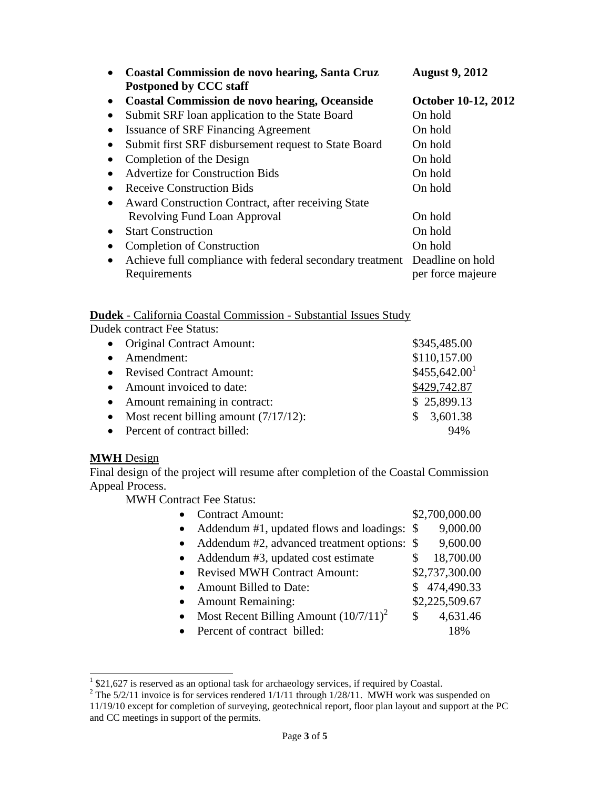|           | <b>Coastal Commission de novo hearing, Santa Cruz</b><br><b>Postponed by CCC staff</b> | <b>August 9, 2012</b> |
|-----------|----------------------------------------------------------------------------------------|-----------------------|
| $\bullet$ | <b>Coastal Commission de novo hearing, Oceanside</b>                                   | October 10-12, 2012   |
|           | Submit SRF loan application to the State Board                                         | On hold               |
|           | <b>Issuance of SRF Financing Agreement</b>                                             | On hold               |
|           | Submit first SRF disbursement request to State Board                                   | On hold               |
|           | Completion of the Design                                                               | On hold               |
|           | <b>Advertize for Construction Bids</b>                                                 | On hold               |
|           | <b>Receive Construction Bids</b>                                                       | On hold               |
| ٠         | Award Construction Contract, after receiving State                                     |                       |
|           | Revolving Fund Loan Approval                                                           | On hold               |
| $\bullet$ | <b>Start Construction</b>                                                              | On hold               |
|           | <b>Completion of Construction</b>                                                      | On hold               |
|           | Achieve full compliance with federal secondary treatment                               | Deadline on hold      |
|           | Requirements                                                                           | per force majeure     |

# **Dudek** - California Coastal Commission - Substantial Issues Study

Dudek contract Fee Status:

|           | • Original Contract Amount:                | \$345,485.00              |
|-----------|--------------------------------------------|---------------------------|
| $\bullet$ | Amendment:                                 | \$110,157.00              |
|           | • Revised Contract Amount:                 | \$455,642.00 <sup>1</sup> |
|           | • Amount invoiced to date:                 | \$429,742.87              |
|           | • Amount remaining in contract:            | \$25,899.13               |
|           | • Most recent billing amount $(7/17/12)$ : | 3,601.38<br>SS.           |
|           | • Percent of contract billed:              | 94%                       |

# **MWH** Design

Final design of the project will resume after completion of the Coastal Commission Appeal Process.

MWH Contract Fee Status:

| <b>Contract Amount:</b>                               | \$2,700,000.00 |
|-------------------------------------------------------|----------------|
| Addendum #1, updated flows and loadings: \$           | 9,000.00       |
| Addendum #2, advanced treatment options: \$           | 9,600.00       |
| Addendum #3, updated cost estimate                    | 18,700.00<br>S |
| <b>Revised MWH Contract Amount:</b>                   | \$2,737,300.00 |
| <b>Amount Billed to Date:</b>                         | \$474,490.33   |
| <b>Amount Remaining:</b>                              | \$2,225,509.67 |
| Most Recent Billing Amount $(10/7/11)^2$<br>$\bullet$ | 4,631.46<br>Я  |
| Percent of contract billed:                           | 18%            |

<sup>&</sup>lt;sup>1</sup> \$21,627 is reserved as an optional task for archaeology services, if required by Coastal.

 $^{2}$  The 5/2/11 invoice is for services rendered 1/1/11 through 1/28/11. MWH work was suspended on 11/19/10 except for completion of surveying, geotechnical report, floor plan layout and support at the PC and CC meetings in support of the permits.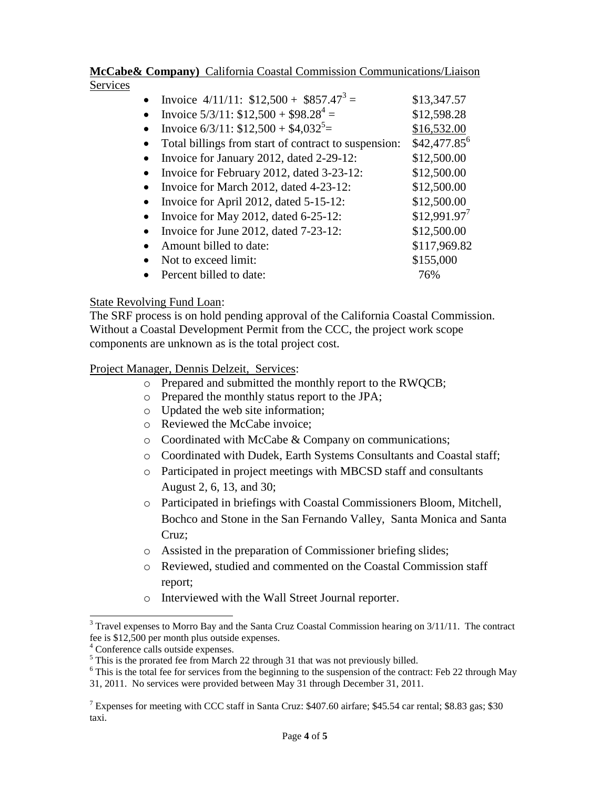#### **McCabe& Company)** California Coastal Commission Communications/Liaison Services

• Invoice  $4/11/11$ : \$12,500 + \$857.47<sup>3</sup> = = \$13,347.57

= \$12,598.28

= \$16,532.00

- Invoice  $5/3/11: $12,500 + $98.28^4 =$
- Invoice  $6/3/11$ : \$12,500 + \$4,032<sup>5</sup> =
- Total billings from start of contract to suspension: \$42,477.85<sup>6</sup>
- Invoice for January 2012, dated 2-29-12: \$12,500.00
- Invoice for February 2012, dated  $3-23-12$ : \$12,500.00
- Invoice for March 2012, dated 4-23-12: \$12,500.00
- Invoice for April 2012, dated 5-15-12: \$12,500.00
- Invoice for May 2012, dated 6-25-12:  $$12,991.97'$
- Invoice for June 2012, dated 7-23-12: \$12,500.00
- Amount billed to date: \$117,969.82
- Not to exceed limit: \$155,000
- Percent billed to date:  $76\%$

## State Revolving Fund Loan:

The SRF process is on hold pending approval of the California Coastal Commission. Without a Coastal Development Permit from the CCC, the project work scope components are unknown as is the total project cost.

## Project Manager, Dennis Delzeit, Services:

- o Prepared and submitted the monthly report to the RWQCB;
- o Prepared the monthly status report to the JPA;
- o Updated the web site information;
- o Reviewed the McCabe invoice;
- o Coordinated with McCabe & Company on communications;
- o Coordinated with Dudek, Earth Systems Consultants and Coastal staff;
- o Participated in project meetings with MBCSD staff and consultants August 2, 6, 13, and 30;
- o Participated in briefings with Coastal Commissioners Bloom, Mitchell, Bochco and Stone in the San Fernando Valley, Santa Monica and Santa Cruz;
- o Assisted in the preparation of Commissioner briefing slides;
- o Reviewed, studied and commented on the Coastal Commission staff report;
- o Interviewed with the Wall Street Journal reporter.

 $\overline{a}$ 

 $3$  Travel expenses to Morro Bay and the Santa Cruz Coastal Commission hearing on  $3/11/11$ . The contract fee is \$12,500 per month plus outside expenses.

<sup>4</sup> Conference calls outside expenses.

<sup>&</sup>lt;sup>5</sup> This is the prorated fee from March 22 through 31 that was not previously billed.

<sup>&</sup>lt;sup>6</sup> This is the total fee for services from the beginning to the suspension of the contract: Feb 22 through May 31, 2011. No services were provided between May 31 through December 31, 2011.

<sup>7</sup> Expenses for meeting with CCC staff in Santa Cruz: \$407.60 airfare; \$45.54 car rental; \$8.83 gas; \$30 taxi.